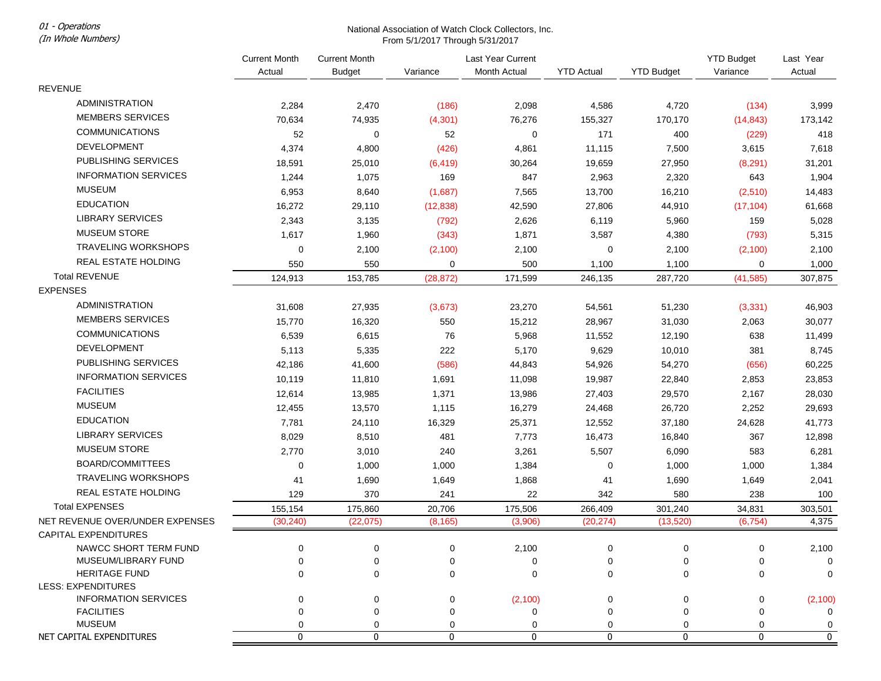## 01 - Operations

(In Whole Numbers)

## National Association of Watch Clock Collectors, Inc. From 5/1/2017 Through 5/31/2017

|                                              | <b>Current Month</b> | <b>Current Month</b> |           | Last Year Current |                   |                   | <b>YTD Budget</b> | Last Year    |
|----------------------------------------------|----------------------|----------------------|-----------|-------------------|-------------------|-------------------|-------------------|--------------|
|                                              | Actual               | <b>Budget</b>        | Variance  | Month Actual      | <b>YTD Actual</b> | <b>YTD Budget</b> | Variance          | Actual       |
| <b>REVENUE</b>                               |                      |                      |           |                   |                   |                   |                   |              |
| <b>ADMINISTRATION</b>                        | 2,284                | 2,470                | (186)     | 2,098             | 4,586             | 4,720             | (134)             | 3,999        |
| <b>MEMBERS SERVICES</b>                      | 70,634               | 74,935               | (4, 301)  | 76,276            | 155,327           | 170,170           | (14, 843)         | 173,142      |
| <b>COMMUNICATIONS</b>                        | 52                   | 0                    | 52        | 0                 | 171               | 400               | (229)             | 418          |
| <b>DEVELOPMENT</b>                           | 4,374                | 4,800                | (426)     | 4,861             | 11,115            | 7,500             | 3,615             | 7,618        |
| PUBLISHING SERVICES                          | 18,591               | 25,010               | (6, 419)  | 30,264            | 19,659            | 27,950            | (8, 291)          | 31,201       |
| <b>INFORMATION SERVICES</b>                  | 1,244                | 1,075                | 169       | 847               | 2,963             | 2,320             | 643               | 1,904        |
| <b>MUSEUM</b>                                | 6,953                | 8,640                | (1,687)   | 7,565             | 13,700            | 16,210            | (2,510)           | 14,483       |
| <b>EDUCATION</b>                             | 16,272               | 29,110               | (12, 838) | 42,590            | 27,806            | 44,910            | (17, 104)         | 61,668       |
| <b>LIBRARY SERVICES</b>                      | 2,343                | 3,135                | (792)     | 2,626             | 6,119             | 5,960             | 159               | 5,028        |
| <b>MUSEUM STORE</b>                          | 1,617                | 1,960                | (343)     | 1,871             | 3,587             | 4,380             | (793)             | 5,315        |
| <b>TRAVELING WORKSHOPS</b>                   | $\mathbf 0$          | 2,100                | (2, 100)  | 2,100             | 0                 | 2,100             | (2,100)           | 2,100        |
| <b>REAL ESTATE HOLDING</b>                   | 550                  | 550                  | 0         | 500               | 1,100             | 1,100             | 0                 | 1,000        |
| <b>Total REVENUE</b>                         | 124,913              | 153,785              | (28, 872) | 171,599           | 246,135           | 287,720           | (41, 585)         | 307,875      |
| <b>EXPENSES</b>                              |                      |                      |           |                   |                   |                   |                   |              |
| <b>ADMINISTRATION</b>                        | 31,608               | 27,935               | (3,673)   | 23,270            | 54,561            | 51,230            | (3,331)           | 46,903       |
| <b>MEMBERS SERVICES</b>                      | 15,770               | 16,320               | 550       | 15,212            | 28,967            | 31,030            | 2,063             | 30,077       |
| <b>COMMUNICATIONS</b>                        | 6,539                | 6,615                | 76        | 5,968             | 11,552            | 12,190            | 638               | 11,499       |
| <b>DEVELOPMENT</b>                           | 5,113                | 5,335                | 222       | 5,170             | 9,629             | 10,010            | 381               | 8,745        |
| PUBLISHING SERVICES                          | 42,186               | 41,600               | (586)     | 44,843            | 54,926            | 54,270            | (656)             | 60,225       |
| <b>INFORMATION SERVICES</b>                  | 10,119               | 11,810               | 1,691     | 11,098            | 19,987            | 22,840            | 2,853             | 23,853       |
| <b>FACILITIES</b>                            | 12,614               | 13,985               | 1,371     | 13,986            | 27,403            | 29,570            | 2,167             | 28,030       |
| <b>MUSEUM</b>                                | 12,455               | 13,570               | 1,115     | 16,279            | 24,468            | 26,720            | 2,252             | 29,693       |
| <b>EDUCATION</b>                             | 7,781                | 24,110               | 16,329    | 25,371            | 12,552            | 37,180            | 24,628            | 41,773       |
| LIBRARY SERVICES                             | 8,029                | 8,510                | 481       | 7,773             | 16,473            | 16,840            | 367               | 12,898       |
| <b>MUSEUM STORE</b>                          | 2,770                | 3,010                | 240       | 3,261             | 5,507             | 6,090             | 583               | 6,281        |
| BOARD/COMMITTEES                             |                      |                      |           |                   |                   |                   |                   |              |
| <b>TRAVELING WORKSHOPS</b>                   | 0                    | 1,000                | 1,000     | 1,384             | 0                 | 1,000             | 1,000             | 1,384        |
| <b>REAL ESTATE HOLDING</b>                   | 41                   | 1,690                | 1,649     | 1,868             | 41                | 1,690             | 1,649             | 2,041        |
| <b>Total EXPENSES</b>                        | 129                  | 370                  | 241       | 22                | 342               | 580               | 238               | 100          |
|                                              | 155,154              | 175,860              | 20,706    | 175,506           | 266,409           | 301,240           | 34,831            | 303,501      |
| NET REVENUE OVER/UNDER EXPENSES              | (30, 240)            | (22, 075)            | (8, 165)  | (3,906)           | (20, 274)         | (13,520)          | (6, 754)          | 4,375        |
| <b>CAPITAL EXPENDITURES</b>                  |                      |                      |           |                   |                   |                   |                   |              |
| NAWCC SHORT TERM FUND<br>MUSEUM/LIBRARY FUND |                      |                      | 0         | 2,100<br>0        | 0                 |                   | 0                 | 2,100<br>0   |
| <b>HERITAGE FUND</b>                         |                      | ŋ                    | $\Omega$  | 0                 | $\Omega$          | $\Omega$          | $\Omega$          | 0            |
| <b>LESS: EXPENDITURES</b>                    |                      |                      |           |                   |                   |                   |                   |              |
| <b>INFORMATION SERVICES</b>                  |                      | 0                    | 0         | (2, 100)          | 0                 | 0                 | $\Omega$          | (2,100)      |
| <b>FACILITIES</b>                            |                      | ∩                    | $\Omega$  | 0                 | O                 |                   | $\Omega$          | 0            |
| <b>MUSEUM</b>                                | $\Omega$             | ∩                    | 0         | 0                 | 0                 | 0                 | 0                 | 0            |
| NET CAPITAL EXPENDITURES                     | $\mathbf 0$          | $\mathbf 0$          | 0         | 0                 | $\mathbf 0$       | 0                 | $\mathbf 0$       | $\mathbf{0}$ |